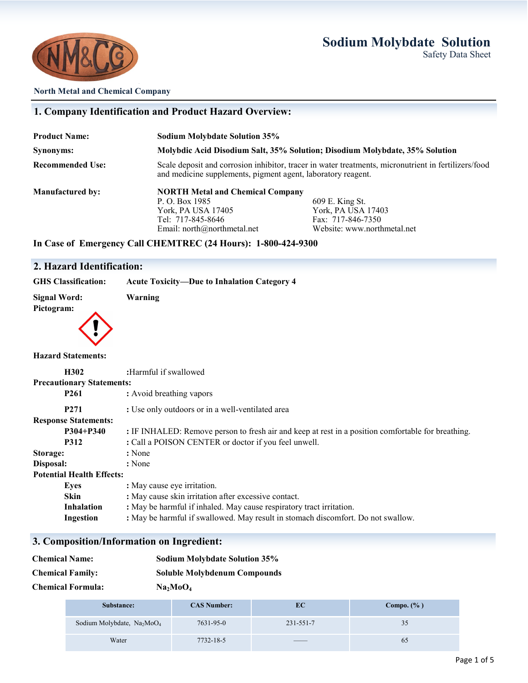# **Sodium Molybdate Solution**

Website: www.northmetal.net





#### **North Metal and Chemical Company**

# **1. Company Identification and Product Hazard Overview: Product Name: Sodium Molybdate Solution 35% Synonyms: Molybdic Acid Disodium Salt, 35% Solution; Disodium Molybdate, 35% Solution Recommended Use:** Scale deposit and corrosion inhibitor, tracer in water treatments, micronutrient in fertilizers/food and medicine supplements, pigment agent, laboratory reagent. **Manufactured by: NORTH Metal and Chemical Company** P. O. Box 1985 609 E. King St.<br>
York, PA USA 17405 609 E. King St. York, PA USA 17405<br>
Tel: 717-845-8646<br>
Fax: 717-846-7350 Tel: 717-845-8646 Fax: 717-846-7350<br>Email: north@northmetal.net Website: www.north

## **In Case of Emergency Call CHEMTREC (24 Hours): 1-800-424-9300**

## **2. Hazard Identification:**

# **GHS Classification: Acute Toxicity—Due to Inhalation Category 4**

| Signal Word: |  |
|--------------|--|
| Pictogram:   |  |
|              |  |

**Signal Word: Warning**

### **Hazard Statements:**

| H302                             | :Harmful if swallowed                                                                              |  |
|----------------------------------|----------------------------------------------------------------------------------------------------|--|
| <b>Precautionary Statements:</b> |                                                                                                    |  |
| P <sub>261</sub>                 | : Avoid breathing vapors                                                                           |  |
| P <sub>271</sub>                 | : Use only outdoors or in a well-ventilated area                                                   |  |
| <b>Response Statements:</b>      |                                                                                                    |  |
| $P304 + P340$                    | : IF INHALED: Remove person to fresh air and keep at rest in a position comfortable for breathing. |  |
| <b>P312</b>                      | : Call a POISON CENTER or doctor if you feel unwell.                                               |  |
| Storage:                         | : None                                                                                             |  |
| Disposal:                        | : None                                                                                             |  |
| <b>Potential Health Effects:</b> |                                                                                                    |  |
| Eves                             | : May cause eye irritation.                                                                        |  |
| <b>Skin</b>                      | : May cause skin irritation after excessive contact.                                               |  |
| <b>Inhalation</b>                | : May be harmful if inhaled. May cause respiratory tract irritation.                               |  |
| Ingestion                        | : May be harmful if swallowed. May result in stomach discomfort. Do not swallow.                   |  |

## **3. Composition/Information on Ingredient:**

| <b>Chemical Name:</b>    | <b>Sodium Molybdate Solution 35%</b> |
|--------------------------|--------------------------------------|
| <b>Chemical Family:</b>  | <b>Soluble Molybdenum Compounds</b>  |
| <b>Chemical Formula:</b> | Na <sub>2</sub> MoO <sub>4</sub>     |

| Substance:                                         | <b>CAS Number:</b> | EС        | Compo. $(\% )$ |
|----------------------------------------------------|--------------------|-----------|----------------|
| Sodium Molybdate, Na <sub>2</sub> MoO <sub>4</sub> | 7631-95-0          | 231-551-7 | 35             |
| Water                                              | 7732-18-5          | _____     | 6C             |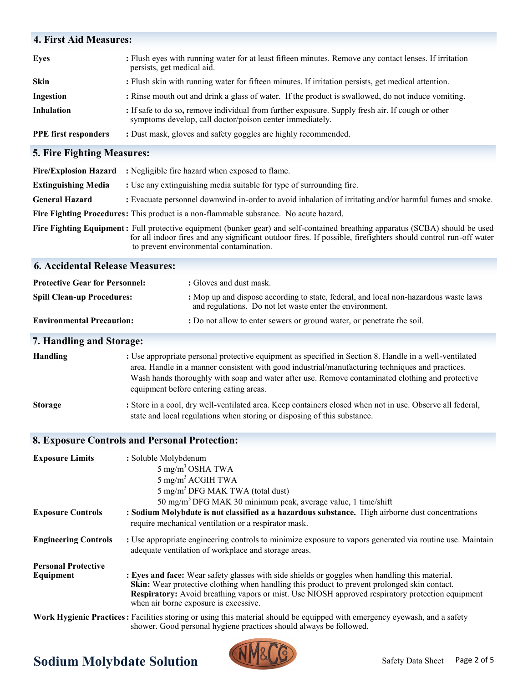| <b>4. First Aid Measures:</b>     |                                                                                                                                                              |  |
|-----------------------------------|--------------------------------------------------------------------------------------------------------------------------------------------------------------|--|
| <b>Eyes</b>                       | : Flush eyes with running water for at least fifteen minutes. Remove any contact lenses. If irritation<br>persists, get medical aid.                         |  |
| <b>Skin</b>                       | : Flush skin with running water for fifteen minutes. If irritation persists, get medical attention.                                                          |  |
| Ingestion                         | : Rinse mouth out and drink a glass of water. If the product is swallowed, do not induce vomiting.                                                           |  |
| <b>Inhalation</b>                 | : If safe to do so, remove individual from further exposure. Supply fresh air. If cough or other<br>symptoms develop, call doctor/poison center immediately. |  |
| <b>PPE</b> first responders       | : Dust mask, gloves and safety goggles are highly recommended.                                                                                               |  |
| <b>5. Fire Fighting Measures:</b> |                                                                                                                                                              |  |

|                            | Fire/Explosion Hazard : Negligible fire hazard when exposed to flame.                                                                                                                                                                                                                      |
|----------------------------|--------------------------------------------------------------------------------------------------------------------------------------------------------------------------------------------------------------------------------------------------------------------------------------------|
| <b>Extinguishing Media</b> | : Use any extinguishing media suitable for type of surrounding fire.                                                                                                                                                                                                                       |
| <b>General Hazard</b>      | : Evacuate personnel downwind in-order to avoid inhalation of irritating and/or harmful fumes and smoke.                                                                                                                                                                                   |
|                            | Fire Fighting Procedures: This product is a non-flammable substance. No acute hazard.                                                                                                                                                                                                      |
|                            | Fire Fighting Equipment: Full protective equipment (bunker gear) and self-contained breathing apparatus (SCBA) should be used<br>for all indoor fires and any significant outdoor fires. If possible, firefighters should control run-off water<br>to prevent environmental contamination. |

#### **6. Accidental Release Measures:**

| <b>Protective Gear for Personnel:</b> | : Gloves and dust mask.                                                                                                                          |
|---------------------------------------|--------------------------------------------------------------------------------------------------------------------------------------------------|
| <b>Spill Clean-up Procedures:</b>     | : Mop up and dispose according to state, federal, and local non-hazardous waste laws<br>and regulations. Do not let waste enter the environment. |
| <b>Environmental Precaution:</b>      | : Do not allow to enter sewers or ground water, or penetrate the soil.                                                                           |

# **7. Handling and Storage:**

| <b>Handling</b> | : Use appropriate personal protective equipment as specified in Section 8. Handle in a well-ventilated    |
|-----------------|-----------------------------------------------------------------------------------------------------------|
|                 | area. Handle in a manner consistent with good industrial/manufacturing techniques and practices.          |
|                 | Wash hands thoroughly with soap and water after use. Remove contaminated clothing and protective          |
|                 | equipment before entering eating areas.                                                                   |
| <b>Storage</b>  | : Store in a cool, dry well-ventilated area. Keep containers closed when not in use. Observe all federal, |

state and local regulations when storing or disposing of this substance.

# **8. Exposure Controls and Personal Protection:**

| <b>Exposure Limits</b>                  | : Soluble Molybdenum<br>$5 \text{ mg/m}^3 \text{OSHA TWA}$<br>$5 \text{ mg/m}^3$ ACGIH TWA                                                                                                                                                                                                                                                         |
|-----------------------------------------|----------------------------------------------------------------------------------------------------------------------------------------------------------------------------------------------------------------------------------------------------------------------------------------------------------------------------------------------------|
|                                         | 5 mg/m <sup>3</sup> DFG MAK TWA (total dust)<br>50 mg/m <sup>3</sup> DFG MAK 30 minimum peak, average value, 1 time/shift                                                                                                                                                                                                                          |
| <b>Exposure Controls</b>                | : Sodium Molybdate is not classified as a hazardous substance. High airborne dust concentrations<br>require mechanical ventilation or a respirator mask.                                                                                                                                                                                           |
| <b>Engineering Controls</b>             | : Use appropriate engineering controls to minimize exposure to vapors generated via routine use. Maintain<br>adequate ventilation of workplace and storage areas.                                                                                                                                                                                  |
| <b>Personal Protective</b><br>Equipment | : Eyes and face: Wear safety glasses with side shields or goggles when handling this material.<br><b>Skin:</b> Wear protective clothing when handling this product to prevent prolonged skin contact.<br>Respiratory: Avoid breathing vapors or mist. Use NIOSH approved respiratory protection equipment<br>when air borne exposure is excessive. |

**Work Hygienic Practices:** Facilities storing or using this material should be equipped with emergency eyewash, and a safety shower. Good personal hygiene practices should always be followed.

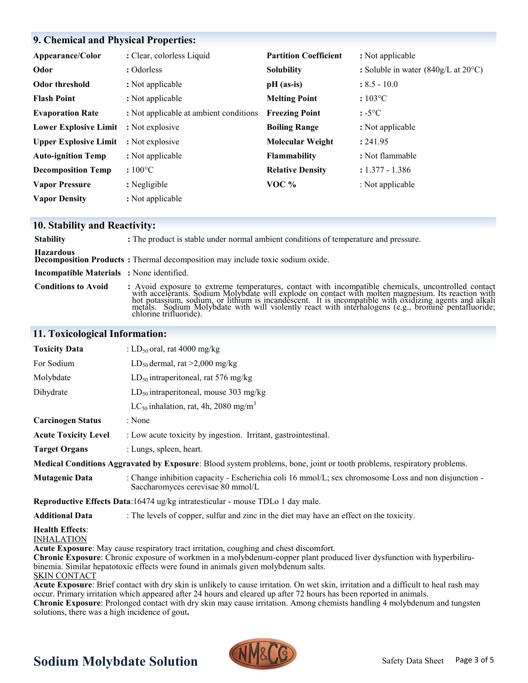# **9. Chemical and Physical Properties:**

| Appearance/Color             | : Clear, colorless Liquid              | <b>Partition Coefficient</b> | : Not applicable                                             |
|------------------------------|----------------------------------------|------------------------------|--------------------------------------------------------------|
| Odor                         | : Odorless                             | <b>Solubility</b>            | : Soluble in water $(840g/L \text{ at } 20^{\circ}\text{C})$ |
| Odor threshold               | : Not applicable                       | $pH$ (as-is)                 | $: 8.5 - 10.0$                                               |
| <b>Flash Point</b>           | : Not applicable                       | <b>Melting Point</b>         | $:103\degree C$                                              |
| <b>Evaporation Rate</b>      | : Not applicable at ambient conditions | <b>Freezing Point</b>        | $: -5^{\circ}C$                                              |
| <b>Lower Explosive Limit</b> | : Not explosive                        | <b>Boiling Range</b>         | : Not applicable                                             |
| <b>Upper Explosive Limit</b> | : Not explosive                        | <b>Molecular Weight</b>      | : 241.95                                                     |
| <b>Auto-ignition Temp</b>    | : Not applicable                       | <b>Flammability</b>          | : Not flammable                                              |
| <b>Decomposition Temp</b>    | $:100^{\circ}$ C                       | <b>Relative Density</b>      | $: 1.377 - 1.386$                                            |
| <b>Vapor Pressure</b>        | : Negligible                           | VOC $%$                      | : Not applicable                                             |
| <b>Vapor Density</b>         | : Not applicable                       |                              |                                                              |

## **10. Stability and Reactivity:**

| <b>Stability</b>                                 | : The product is stable under normal ambient conditions of temperature and pressure.                                                                                                                                                                     |
|--------------------------------------------------|----------------------------------------------------------------------------------------------------------------------------------------------------------------------------------------------------------------------------------------------------------|
| <b>Hazardous</b>                                 | <b>Decomposition Products:</b> Thermal decomposition may include toxic sodium oxide.                                                                                                                                                                     |
| <b>Incompatible Materials</b> : None identified. |                                                                                                                                                                                                                                                          |
| <b>Conditions to Avoid</b>                       | : Avoid exposure to extreme temperatures, contact with incompatible chemicals, uncontrolled contact with accelerants. Sodium Molybdate will explode on contact with molten magnesium. Its reaction with hot potassium, sodium,<br>chlorine trifluoride). |

# **11. Toxicological Information:**

| <b>Toxicity Data</b>                        | : LD <sub>50</sub> oral, rat 4000 mg/kg                                                                                                   |  |
|---------------------------------------------|-------------------------------------------------------------------------------------------------------------------------------------------|--|
| For Sodium                                  | LD <sub>50</sub> dermal, rat >2,000 mg/kg                                                                                                 |  |
| Molybdate                                   | $LD_{50}$ intraperitoneal, rat 576 mg/kg                                                                                                  |  |
| Dihydrate                                   | $LD_{50}$ intraperitoneal, mouse 303 mg/kg                                                                                                |  |
|                                             | LC <sub>50</sub> inhalation, rat, 4h, 2080 mg/m <sup>3</sup>                                                                              |  |
| <b>Carcinogen Status</b>                    | : None                                                                                                                                    |  |
| <b>Acute Toxicity Level</b>                 | : Low acute toxicity by ingestion. Irritant, gastrointestinal.                                                                            |  |
| <b>Target Organs</b>                        | : Lungs, spleen, heart.                                                                                                                   |  |
|                                             | Medical Conditions Aggravated by Exposure: Blood system problems, bone, joint or tooth problems, respiratory problems.                    |  |
| <b>Mutagenic Data</b>                       | : Change inhibition capacity - Escherichia coli 16 mmol/L; sex chromosome Loss and non disjunction -<br>Saccharomyces cerevisae 80 mmol/L |  |
|                                             | Reproductive Effects Data:16474 ug/kg intratesticular - mouse TDLo 1 day male.                                                            |  |
| <b>Additional Data</b>                      | : The levels of copper, sulfur and zinc in the diet may have an effect on the toxicity.                                                   |  |
| <b>Health Effects:</b><br><b>INHALATION</b> | Acute Exposure: May cause respiratory tract irritation, coughing and chest discomfort.                                                    |  |

**Chronic Exposure**: Chronic exposure of workmen in a molybdenum-copper plant produced liver dysfunction with hyperbilirubinemia. Similar hepatotoxic effects were found in animals given molybdenum salts.

SKIN CONTACT

**Acute Exposure**: Brief contact with dry skin is unlikely to cause irritation. On wet skin, irritation and a difficult to heal rash may occur. Primary irritation which appeared after 24 hours and cleared up after 72 hours has been reported in animals.

**Chronic Exposure**: Prolonged contact with dry skin may cause irritation. Among chemists handling 4 molybdenum and tungsten solutions, there was a high incidence of gout**.**

# **Sodium Molybdate Solution**

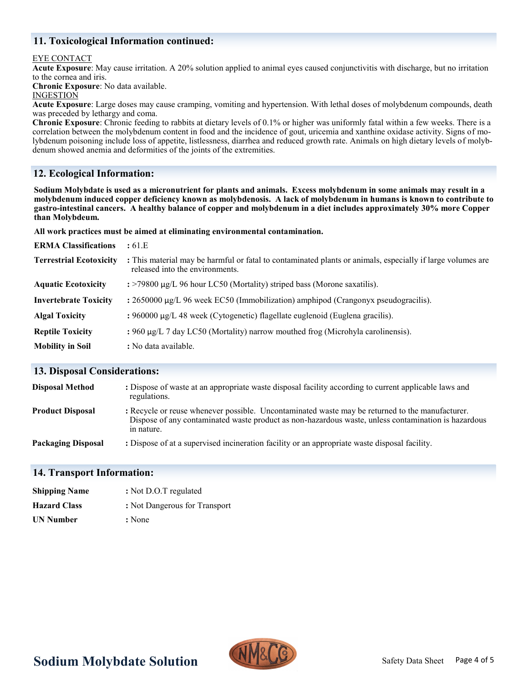# **11. Toxicological Information continued:**

### EYE CONTACT

**Acute Exposure**: May cause irritation. A 20% solution applied to animal eyes caused conjunctivitis with discharge, but no irritation to the cornea and iris.

**Chronic Exposure**: No data available.

#### **INGESTION**

**Acute Exposure**: Large doses may cause cramping, vomiting and hypertension. With lethal doses of molybdenum compounds, death was preceded by lethargy and coma.

**Chronic Exposure**: Chronic feeding to rabbits at dietary levels of 0.1% or higher was uniformly fatal within a few weeks. There is a correlation between the molybdenum content in food and the incidence of gout, uricemia and xanthine oxidase activity. Signs of molybdenum poisoning include loss of appetite, listlessness, diarrhea and reduced growth rate. Animals on high dietary levels of molybdenum showed anemia and deformities of the joints of the extremities.

# **12. Ecological Information:**

**Sodium Molybdate is used as a micronutrient for plants and animals. Excess molybdenum in some animals may result in a molybdenum induced copper deficiency known as molybdenosis. A lack of molybdenum in humans is known to contribute to gastro-intestinal cancers. A healthy balance of copper and molybdenum in a diet includes approximately 30% more Copper than Molybdeum.** 

**All work practices must be aimed at eliminating environmental contamination.** 

| <b>ERMA Classifications</b>    | :61.E                                                                                                                                         |
|--------------------------------|-----------------------------------------------------------------------------------------------------------------------------------------------|
| <b>Terrestrial Ecotoxicity</b> | : This material may be harmful or fatal to contaminated plants or animals, especially if large volumes are<br>released into the environments. |
| <b>Aquatic Ecotoxicity</b>     | $\div$ 79800 µg/L 96 hour LC50 (Mortality) striped bass (Morone saxatilis).                                                                   |
| <b>Invertebrate Toxicity</b>   | : $2650000 \mu g/L$ 96 week EC50 (Immobilization) amphipod (Crangonyx pseudogracilis).                                                        |
| <b>Algal Toxicity</b>          | : $960000 \mu g/L$ 48 week (Cytogenetic) flagellate euglenoid (Euglena gracilis).                                                             |
| <b>Reptile Toxicity</b>        | : 960 $\mu$ g/L 7 day LC50 (Mortality) narrow mouthed frog (Microhyla carolinensis).                                                          |
| <b>Mobility in Soil</b>        | : No data available.                                                                                                                          |

## **13. Disposal Considerations:**

| <b>Disposal Method</b>    | : Dispose of waste at an appropriate waste disposal facility according to current applicable laws and<br>regulations.                                                                                                |
|---------------------------|----------------------------------------------------------------------------------------------------------------------------------------------------------------------------------------------------------------------|
| <b>Product Disposal</b>   | : Recycle or reuse whenever possible. Uncontaminated waste may be returned to the manufacturer.<br>Dispose of any contaminated waste product as non-hazardous waste, unless contamination is hazardous<br>in nature. |
| <b>Packaging Disposal</b> | : Dispose of at a supervised incineration facility or an appropriate waste disposal facility.                                                                                                                        |

## **14. Transport Information:**

| <b>Shipping Name</b> | : Not D.O.T regulated         |
|----------------------|-------------------------------|
| <b>Hazard Class</b>  | : Not Dangerous for Transport |
| <b>UN Number</b>     | : None                        |